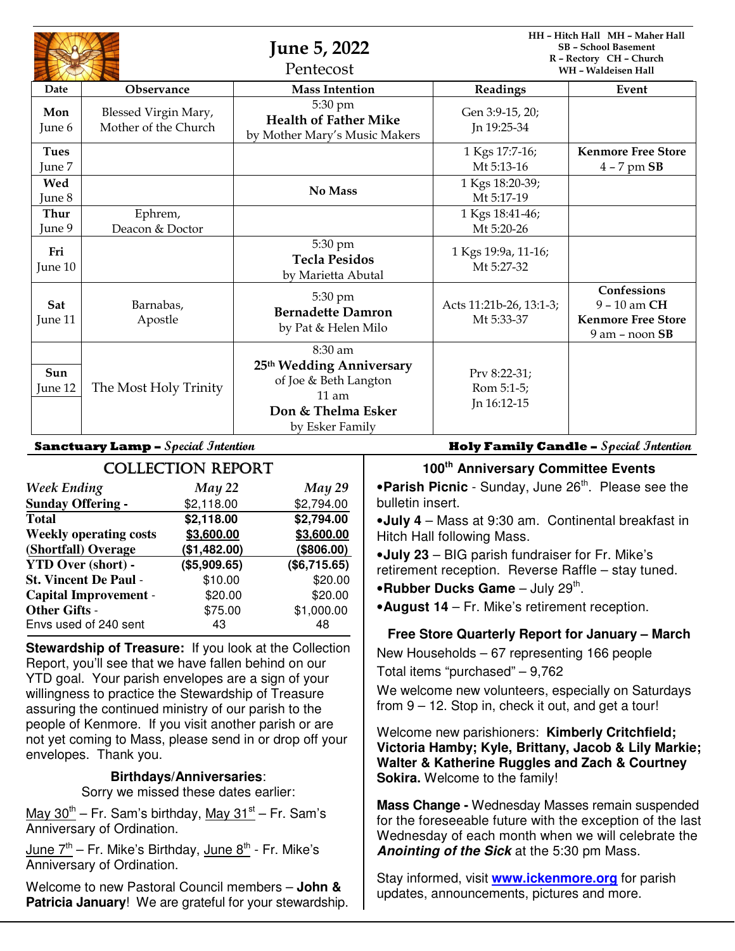|                       |                                              | <b>June 5, 2022</b><br>Pentecost                                                                                 |                                           | HH - Hitch Hall MH - Maher Hall<br><b>SB - School Basement</b><br>R - Rectory CH - Church<br><b>WH-Waldeisen Hall</b> |  |
|-----------------------|----------------------------------------------|------------------------------------------------------------------------------------------------------------------|-------------------------------------------|-----------------------------------------------------------------------------------------------------------------------|--|
| Date                  | <b>Observance</b>                            | <b>Mass Intention</b>                                                                                            | Readings                                  | Event                                                                                                                 |  |
| Mon<br>June 6         | Blessed Virgin Mary,<br>Mother of the Church | 5:30 pm<br><b>Health of Father Mike</b><br>by Mother Mary's Music Makers                                         | Gen 3:9-15, 20;<br>In 19:25-34            |                                                                                                                       |  |
| <b>Tues</b><br>June 7 |                                              |                                                                                                                  | 1 Kgs 17:7-16;<br>Mt 5:13-16              | <b>Kenmore Free Store</b><br>$4 - 7$ pm $SB$                                                                          |  |
| Wed<br>June 8         |                                              | No Mass                                                                                                          | 1 Kgs 18:20-39;<br>Mt 5:17-19             |                                                                                                                       |  |
| Thur<br>June 9        | Ephrem,<br>Deacon & Doctor                   |                                                                                                                  | 1 Kgs 18:41-46;<br>Mt 5:20-26             |                                                                                                                       |  |
| Fri<br>June 10        |                                              | 5:30 pm<br><b>Tecla Pesidos</b><br>by Marietta Abutal                                                            | 1 Kgs 19:9a, 11-16;<br>Mt 5:27-32         |                                                                                                                       |  |
| Sat<br>June 11        | Barnabas.<br>Apostle                         | 5:30 pm<br><b>Bernadette Damron</b><br>by Pat & Helen Milo                                                       | Acts 11:21b-26, 13:1-3;<br>Mt 5:33-37     | Confessions<br>$9 - 10$ am CH<br><b>Kenmore Free Store</b><br>$9$ am – noon $SB$                                      |  |
| Sun<br>June 12        | The Most Holy Trinity                        | 8:30 am<br>25th Wedding Anniversary<br>of Joe & Beth Langton<br>$11$ am<br>Don & Thelma Esker<br>by Esker Family | Prv 8:22-31;<br>Rom 5:1-5;<br>Jn 16:12-15 |                                                                                                                       |  |

| <b>COLLECTION REPORT</b>      |              |              |  |  |  |
|-------------------------------|--------------|--------------|--|--|--|
| <b>Week Ending</b>            | May 22       | May 29       |  |  |  |
| <b>Sunday Offering -</b>      | \$2,118.00   | \$2,794.00   |  |  |  |
| <b>Total</b>                  | \$2,118.00   | \$2,794.00   |  |  |  |
| <b>Weekly operating costs</b> | \$3,600.00   | \$3,600.00   |  |  |  |
| (Shortfall) Overage           | (\$1,482.00) | (\$806.00)   |  |  |  |
| <b>YTD Over (short) -</b>     | (\$5,909.65) | (\$6,715.65) |  |  |  |
| <b>St. Vincent De Paul -</b>  | \$10.00      | \$20.00      |  |  |  |
| <b>Capital Improvement -</b>  | \$20.00      | \$20.00      |  |  |  |
| <b>Other Gifts -</b>          | \$75.00      | \$1,000.00   |  |  |  |
| Envs used of 240 sent         | 43           | 48           |  |  |  |

**Stewardship of Treasure:** If you look at the Collection Report, you'll see that we have fallen behind on our YTD goal. Your parish envelopes are a sign of your willingness to practice the Stewardship of Treasure assuring the continued ministry of our parish to the people of Kenmore. If you visit another parish or are not yet coming to Mass, please send in or drop off your envelopes. Thank you.

#### **Birthdays/Anniversaries**:

Sorry we missed these dates earlier:

May  $30^{th}$  – Fr. Sam's birthday, May  $31^{st}$  – Fr. Sam's Anniversary of Ordination.

 $\frac{\text{June } 7^{\text{th}}}{\text{C}}$  – Fr. Mike's Birthday,  $\frac{\text{June } 8^{\text{th}}}{\text{C}}$  - Fr. Mike's Anniversary of Ordination.

Welcome to new Pastoral Council members – **John & Patricia January**! We are grateful for your stewardship.

**Sanctuary Lamp – Special Intention Holy Family Candle – Special Intention**

# **100th Anniversary Committee Events**

**• Parish Picnic** - Sunday, June 26<sup>th</sup>. Please see the bulletin insert.

•**July 4** – Mass at 9:30 am. Continental breakfast in Hitch Hall following Mass.

•**July 23** – BIG parish fundraiser for Fr. Mike's retirement reception. Reverse Raffle – stay tuned.

**•Rubber Ducks Game** – July 29<sup>th</sup>.

•**August 14** – Fr. Mike's retirement reception.

## **Free Store Quarterly Report for January – March**

New Households – 67 representing 166 people

Total items "purchased" – 9,762

We welcome new volunteers, especially on Saturdays from 9 – 12. Stop in, check it out, and get a tour!

Welcome new parishioners: **Kimberly Critchfield; Victoria Hamby; Kyle, Brittany, Jacob & Lily Markie; Walter & Katherine Ruggles and Zach & Courtney Sokira.** Welcome to the family!

**Mass Change -** Wednesday Masses remain suspended for the foreseeable future with the exception of the last Wednesday of each month when we will celebrate the **Anointing of the Sick** at the 5:30 pm Mass.

Stay informed, visit **www.ickenmore.org** for parish updates, announcements, pictures and more.